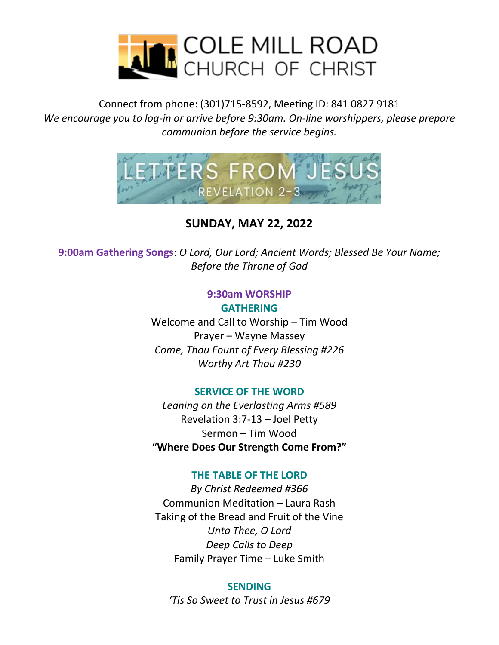

Connect from phone: (301)715-8592, Meeting ID: 841 0827 9181 *We encourage you to log-in or arrive before 9:30am. On-line worshippers, please prepare communion before the service begins.*



**SUNDAY, MAY 22, 2022**

**9:00am Gathering Songs**: *O Lord, Our Lord; Ancient Words; Blessed Be Your Name; Before the Throne of God*

#### **9:30am WORSHIP GATHERING**

Welcome and Call to Worship – Tim Wood Prayer – Wayne Massey *Come, Thou Fount of Every Blessing #226 Worthy Art Thou #230*

#### **SERVICE OF THE WORD**

*Leaning on the Everlasting Arms #589* Revelation 3:7-13 – Joel Petty Sermon – Tim Wood **"Where Does Our Strength Come From?"**

### **THE TABLE OF THE LORD**

*By Christ Redeemed #366* Communion Meditation – Laura Rash Taking of the Bread and Fruit of the Vine *Unto Thee, O Lord Deep Calls to Deep* Family Prayer Time – Luke Smith

#### **SENDING**

*'Tis So Sweet to Trust in Jesus #679*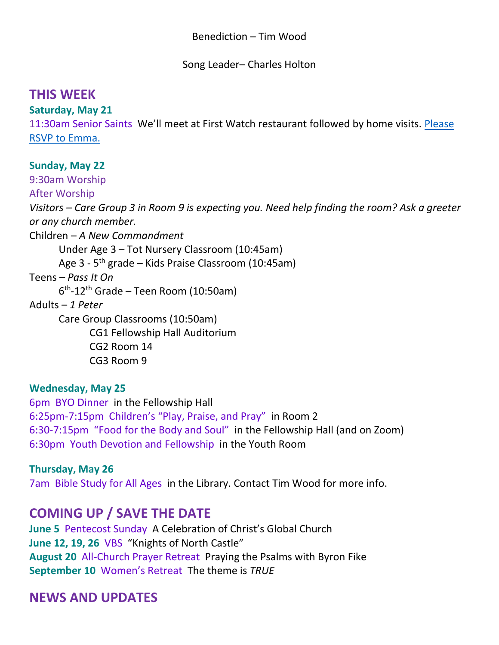Song Leader– Charles Holton

# **THIS WEEK**

**Saturday, May 21** 

11:30am Senior Saints We'll meet at First Watch restaurant followed by home visits. [Please](mailto:ebdavis1911@yahoo.com?subject=SS)  [RSVP to Emma.](mailto:ebdavis1911@yahoo.com?subject=SS)

## **Sunday, May 22**

9:30am Worship

After Worship

*Visitors – Care Group 3 in Room 9 is expecting you. Need help finding the room? Ask a greeter or any church member.* 

Children – *A New Commandment*

Under Age 3 – Tot Nursery Classroom (10:45am)

Age 3 - 5<sup>th</sup> grade – Kids Praise Classroom (10:45am)

Teens – *Pass It On*

6 th -12th Grade – Teen Room (10:50am)

Adults – *1 Peter*

Care Group Classrooms (10:50am) CG1 Fellowship Hall Auditorium

CG2 Room 14

CG3 Room 9

### **Wednesday, May 25**

6pm BYO Dinner in the Fellowship Hall 6:25pm-7:15pm Children's "Play, Praise, and Pray" in Room 2 6:30-7:15pm "Food for the Body and Soul" in the Fellowship Hall (and on Zoom) 6:30pm Youth Devotion and Fellowship in the Youth Room

### **Thursday, May 26**

7am Bible Study for All Ages in the Library. Contact Tim Wood for more info.

# **COMING UP / SAVE THE DATE**

**June 5** Pentecost Sunday A Celebration of Christ's Global Church **June 12, 19, 26** VBS "Knights of North Castle" **August 20** All-Church Prayer Retreat Praying the Psalms with Byron Fike **September 10** Women's Retreat The theme is *TRUE*

# **NEWS AND UPDATES**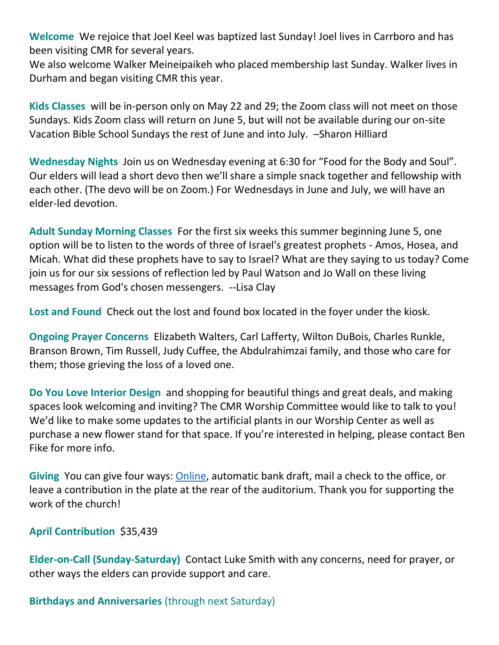**Welcome** We rejoice that Joel Keel was baptized last Sunday! Joel lives in Carrboro and has been visiting CMR for several years.

We also welcome Walker Meineipaikeh who placed membership last Sunday. Walker lives in Durham and began visiting CMR this year.

**Kids Classes** will be in-person only on May 22 and 29; the Zoom class will not meet on those Sundays. Kids Zoom class will return on June 5, but will not be available during our on-site Vacation Bible School Sundays the rest of June and into July. –Sharon Hilliard

**Wednesday Nights** Join us on Wednesday evening at 6:30 for "Food for the Body and Soul". Our elders will lead a short devo then we'll share a simple snack together and fellowship with each other. (The devo will be on Zoom.) For Wednesdays in June and July, we will have an elder-led devotion.

**Adult Sunday Morning Classes** For the first six weeks this summer beginning June 5, one option will be to listen to the words of three of Israel's greatest prophets - Amos, Hosea, and Micah. What did these prophets have to say to Israel? What are they saying to us today? Come join us for our six sessions of reflection led by Paul Watson and Jo Wall on these living messages from God's chosen messengers. --Lisa Clay

**Lost and Found** Check out the lost and found box located in the foyer under the kiosk.

**Ongoing Prayer Concerns** Elizabeth Walters, Carl Lafferty, Wilton DuBois, Charles Runkle, Branson Brown, Tim Russell, Judy Cuffee, the Abdulrahimzai family, and those who care for them; those grieving the loss of a loved one.

**Do You Love Interior Design** and shopping for beautiful things and great deals, and making spaces look welcoming and inviting? The CMR Worship Committee would like to talk to you! We'd like to make some updates to the artificial plants in our Worship Center as well as purchase a new flower stand for that space. If you're interested in helping, please contact Ben Fike for more info.

**Giving** You can give four ways: [Online,](https://www.paypal.com/donate/?hosted_button_id=FLNLFZCNSFEME) automatic bank draft, mail a check to the office, or leave a contribution in the plate at the rear of the auditorium. Thank you for supporting the work of the church!

**April Contribution** \$35,439

**Elder-on-Call (Sunday-Saturday)** Contact Luke Smith with any concerns, need for prayer, or other ways the elders can provide support and care.

**Birthdays and Anniversaries** (through next Saturday)